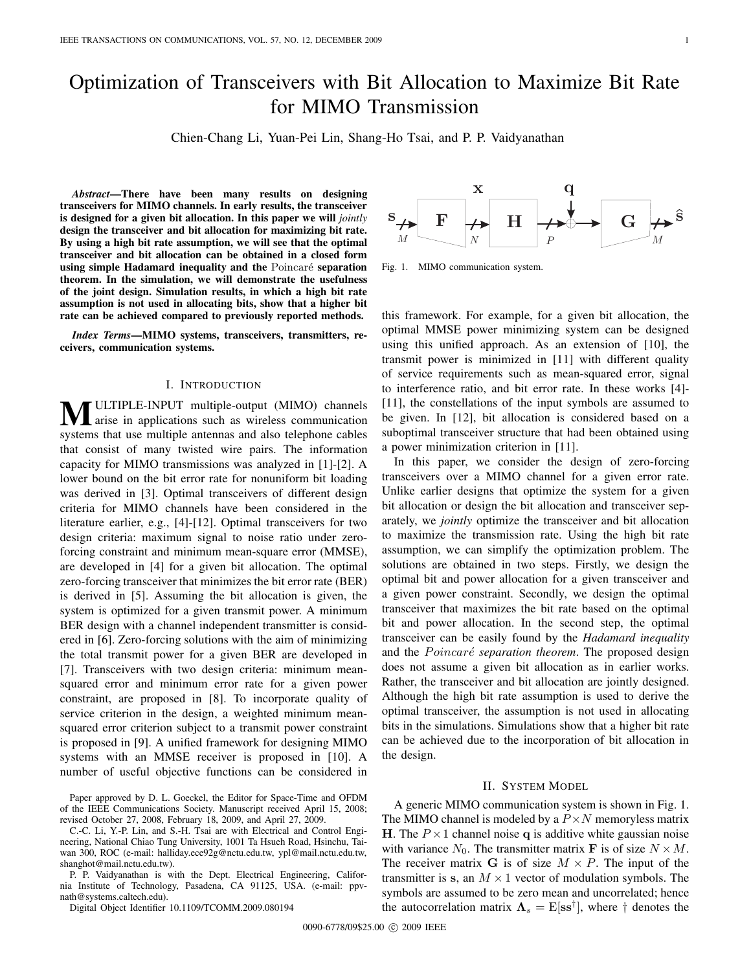# Optimization of Transceivers with Bit Allocation to Maximize Bit Rate for MIMO Transmission

Chien-Chang Li, Yuan-Pei Lin, Shang-Ho Tsai, and P. P. Vaidyanathan

*Abstract***—There have been many results on designing transceivers for MIMO channels. In early results, the transceiver is designed for a given bit allocation. In this paper we will** *jointly* **design the transceiver and bit allocation for maximizing bit rate. By using a high bit rate assumption, we will see that the optimal transceiver and bit allocation can be obtained in a closed form using simple Hadamard inequality and the Poincaré separation theorem. In the simulation, we will demonstrate the usefulness of the joint design. Simulation results, in which a high bit rate assumption is not used in allocating bits, show that a higher bit rate can be achieved compared to previously reported methods.**

*Index Terms***—MIMO systems, transceivers, transmitters, receivers, communication systems.**

#### I. INTRODUCTION

**WELTIPLE-INPUT** multiple-output (MIMO) channels arise in applications such as wireless communication systems that use multiple antennas and also telephone cables that consist of many twisted wire pairs. The information capacity for MIMO transmissions was analyzed in [1]-[2]. A lower bound on the bit error rate for nonuniform bit loading was derived in [3]. Optimal transceivers of different design criteria for MIMO channels have been considered in the literature earlier, e.g., [4]-[12]. Optimal transceivers for two design criteria: maximum signal to noise ratio under zeroforcing constraint and minimum mean-square error (MMSE), are developed in [4] for a given bit allocation. The optimal zero-forcing transceiver that minimizes the bit error rate (BER) is derived in [5]. Assuming the bit allocation is given, the system is optimized for a given transmit power. A minimum BER design with a channel independent transmitter is considered in [6]. Zero-forcing solutions with the aim of minimizing the total transmit power for a given BER are developed in [7]. Transceivers with two design criteria: minimum meansquared error and minimum error rate for a given power constraint, are proposed in [8]. To incorporate quality of service criterion in the design, a weighted minimum meansquared error criterion subject to a transmit power constraint is proposed in [9]. A unified framework for designing MIMO systems with an MMSE receiver is proposed in [10]. A number of useful objective functions can be considered in

Paper approved by D. L. Goeckel, the Editor for Space-Time and OFDM of the IEEE Communications Society. Manuscript received April 15, 2008; revised October 27, 2008, February 18, 2009, and April 27, 2009.

C.-C. Li, Y.-P. Lin, and S.-H. Tsai are with Electrical and Control Engineering, National Chiao Tung University, 1001 Ta Hsueh Road, Hsinchu, Taiwan 300, ROC (e-mail: halliday.ece92g@nctu.edu.tw, ypl@mail.nctu.edu.tw, shanghot@mail.nctu.edu.tw).

P. P. Vaidyanathan is with the Dept. Electrical Engineering, California Institute of Technology, Pasadena, CA 91125, USA. (e-mail: ppvnath@systems.caltech.edu).

Digital Object Identifier 10.1109/TCOMM.2009.080194



Fig. 1. MIMO communication system.

this framework. For example, for a given bit allocation, the optimal MMSE power minimizing system can be designed using this unified approach. As an extension of [10], the transmit power is minimized in [11] with different quality of service requirements such as mean-squared error, signal to interference ratio, and bit error rate. In these works [4]- [11], the constellations of the input symbols are assumed to be given. In [12], bit allocation is considered based on a suboptimal transceiver structure that had been obtained using a power minimization criterion in [11].

In this paper, we consider the design of zero-forcing transceivers over a MIMO channel for a given error rate. Unlike earlier designs that optimize the system for a given bit allocation or design the bit allocation and transceiver separately, we *jointly* optimize the transceiver and bit allocation to maximize the transmission rate. Using the high bit rate assumption, we can simplify the optimization problem. The solutions are obtained in two steps. Firstly, we design the optimal bit and power allocation for a given transceiver and a given power constraint. Secondly, we design the optimal transceiver that maximizes the bit rate based on the optimal bit and power allocation. In the second step, the optimal transceiver can be easily found by the *Hadamard inequality* and the Poincaré separation theorem. The proposed design does not assume a given bit allocation as in earlier works. Rather, the transceiver and bit allocation are jointly designed. Although the high bit rate assumption is used to derive the optimal transceiver, the assumption is not used in allocating bits in the simulations. Simulations show that a higher bit rate can be achieved due to the incorporation of bit allocation in the design.

#### II. SYSTEM MODEL

A generic MIMO communication system is shown in Fig. 1. The MIMO channel is modeled by a  $P \times N$  memoryless matrix **H**. The  $P \times 1$  channel noise **q** is additive white gaussian noise with variance  $N_0$ . The transmitter matrix **F** is of size  $N \times M$ . The receiver matrix **G** is of size  $M \times P$ . The input of the transmitter is s, an  $M \times 1$  vector of modulation symbols. The symbols are assumed to be zero mean and uncorrelated; hence the autocorrelation matrix  $\Lambda_s = \mathrm{E}[\mathrm{ss}^\dagger]$ , where  $\dagger$  denotes the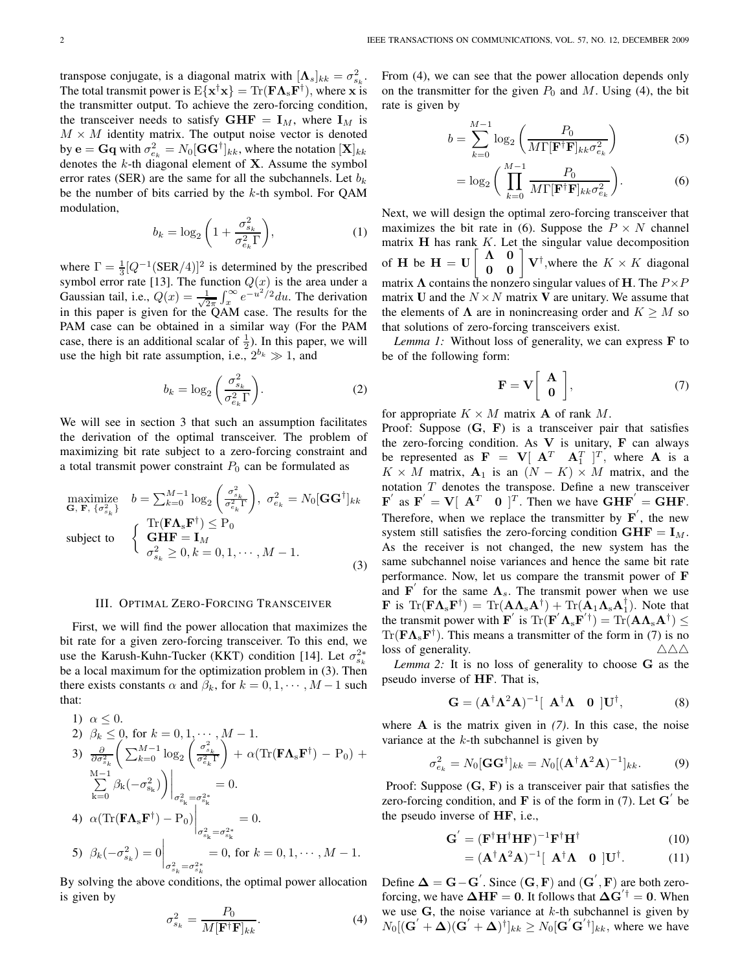transpose conjugate, is a diagonal matrix with  $[\mathbf{\Lambda}_s]_{kk} = \sigma_{s_k}^2$ . The total transmit power is  $E\{x^\dagger x\} = \text{Tr}(\mathbf{F}\mathbf{\Lambda}_s\mathbf{F}^\dagger)$ , where **x** is the transmitter output. To achieve the zero-forcing condition, the transceiver needs to satisfy  $GHF = I_M$ , where  $I_M$  is  $M \times M$  identity matrix. The output noise vector is denoted by  $\mathbf{e} = \mathbf{G}\mathbf{q}$  with  $\sigma^2_{e_k} = N_0[\mathbf{G}\mathbf{G}^\dagger]_{kk}$ , where the notation  $[\mathbf{X}]_{kk}$ denotes the k-th diagonal element of **X**. Assume the symbol error rates (SER) are the same for all the subchannels. Let  $b_k$ be the number of bits carried by the  $k$ -th symbol. For QAM modulation,

$$
b_k = \log_2\left(1 + \frac{\sigma_{s_k}^2}{\sigma_{e_k}^2 \Gamma}\right),\tag{1}
$$

where  $\Gamma = \frac{1}{3} [Q^{-1}(\text{SER}/4)]^2$  is determined by the prescribed symbol error rate [13]. The function  $Q(x)$  is the area under a Gaussian tail, i.e.,  $Q(x) = \frac{1}{\sqrt{2}}$  $rac{1}{2\pi} \int_x^{\infty} e^{-u^2/2} du$ . The derivation in this paper is given for the QAM case. The results for the PAM case can be obtained in a similar way (For the PAM case, there is an additional scalar of  $\frac{1}{2}$ ). In this paper, we will use the high bit rate assumption, i.e.,  $2^{b_k} \gg 1$ , and

$$
b_k = \log_2\left(\frac{\sigma_{s_k}^2}{\sigma_{e_k}^2 \Gamma}\right).
$$
 (2)

We will see in section 3 that such an assumption facilitates the derivation of the optimal transceiver. The problem of maximizing bit rate subject to a zero-forcing constraint and a total transmit power constraint  $P_0$  can be formulated as

maximize  
\n
$$
\mathbf{G}, \mathbf{F}, \{\sigma_{s_k}^2\} \quad b = \sum_{k=0}^{M-1} \log_2 \left(\frac{\sigma_{s_k}^2}{\sigma_{e_k}^2 \Gamma}\right), \ \sigma_{e_k}^2 = N_0 [\mathbf{G} \mathbf{G}^\dagger]_{kk}
$$
\nsubject to  
\n
$$
\left\{\begin{array}{l}\n\text{Tr}(\mathbf{F} \mathbf{\Lambda}_s \mathbf{F}^\dagger) \le \mathbf{P}_0 \\
\text{subject to} \\
\sigma_{s_k}^2 \ge 0, k = 0, 1, \cdots, M - 1.\n\end{array}\right.
$$
\n(3)

#### III. OPTIMAL ZERO-FORCING TRANSCEIVER

First, we will find the power allocation that maximizes the bit rate for a given zero-forcing transceiver. To this end, we use the Karush-Kuhn-Tucker (KKT) condition [14]. Let  $\sigma_{s_k}^{2*}$ be a local maximum for the optimization problem in (3). Then there exists constants  $\alpha$  and  $\beta_k$ , for  $k = 0, 1, \dots, M-1$  such that:

1) 
$$
\alpha \le 0
$$
.  
\n2)  $\beta_k \le 0$ , for  $k = 0, 1, \dots, M - 1$ .  
\n3)  $\frac{\partial}{\partial \sigma_{s_k}^2} \left( \sum_{k=0}^{M-1} \log_2 \left( \frac{\sigma_{s_k}^2}{\sigma_{e_k}^2 \Gamma} \right) + \alpha (\text{Tr}(\mathbf{F} \mathbf{\Lambda_s} \mathbf{F}^{\dagger}) - P_0) + \sum_{k=0}^{M-1} \beta_k (-\sigma_{s_k}^2) \right) \Big|_{\sigma_{s_k}^2 = \sigma_{s_k}^{2*}} = 0.$   
\n4)  $\alpha (\text{Tr}(\mathbf{F} \mathbf{\Lambda_s} \mathbf{F}^{\dagger}) - P_0) \Big|_{\sigma_{s_k}^2 = \sigma_{s_k}^{2*}} = 0.$   
\n5)  $\beta_k (-\sigma_{s_k}^2) = 0 \Big|_{\sigma_{s_k}^2 = \sigma_{s_k}^{2*}} = 0$ , for  $k = 0, 1, \dots, M - 1$ .

By solving the above conditions, the optimal power allocation is given by

$$
\sigma_{s_k}^2 = \frac{P_0}{M[\mathbf{F}^\dagger \mathbf{F}]_{kk}}.\tag{4}
$$

From  $(4)$ , we can see that the power allocation depends only on the transmitter for the given  $P_0$  and M. Using (4), the bit rate is given by

$$
b = \sum_{k=0}^{M-1} \log_2 \left( \frac{P_0}{M \Gamma[\mathbf{F}^\dagger \mathbf{F}]_{kk} \sigma_{e_k}^2} \right) \tag{5}
$$

$$
= \log_2 \left( \prod_{k=0}^{M-1} \frac{P_0}{M \Gamma[\mathbf{F}^{\dagger} \mathbf{F}]_{kk} \sigma_{e_k}^2} \right).
$$
 (6)

Next, we will design the optimal zero-forcing transceiver that maximizes the bit rate in (6). Suppose the  $P \times N$  channel matrix  $H$  has rank  $K$ . Let the singular value decomposition of **H** be  $H = U$  $\begin{bmatrix} \mathbf{\Lambda} & \mathbf{0} \\ \mathbf{0} & \mathbf{0} \end{bmatrix} \mathbf{V}^{\dagger}$ , where the  $K \times K$  diagonal matrix  $\Lambda$  contains the nonzero singular values of **H**. The  $P \times P$ matrix **U** and the  $N \times N$  matrix **V** are unitary. We assume that the elements of  $\Lambda$  are in nonincreasing order and  $K \geq M$  so that solutions of zero-forcing transceivers exist.

*Lemma 1:* Without loss of generality, we can express **F** to be of the following form:

$$
\mathbf{F} = \mathbf{V} \left[ \begin{array}{c} \mathbf{A} \\ \mathbf{0} \end{array} \right],\tag{7}
$$

for appropriate  $K \times M$  matrix **A** of rank M.

Proof: Suppose (**G**, **F**) is a transceiver pair that satisfies the zero-forcing condition. As **V** is unitary, **F** can always be represented as  $\mathbf{F} = \mathbf{V} \begin{bmatrix} \mathbf{A}^T & \mathbf{A}_1^T \end{bmatrix}^T$ , where **A** is a  $K \times M$  matrix,  $\mathbf{A}_1$  is an  $(N - K) \times M$  matrix, and the notation T denotes the transpose. Define a new transceiver  $\mathbf{F}'$  as  $\mathbf{F}' = \mathbf{V}[\mathbf{A}^T \mathbf{0} ]^T$ . Then we have  $\mathbf{GHF}' = \mathbf{GHF}$ . Therefore, when we replace the transmitter by  $\mathbf{F}'$ , the new system still satisfies the zero-forcing condition  $GHF = I_M$ . As the receiver is not changed, the new system has the same subchannel noise variances and hence the same bit rate performance. Now, let us compare the transmit power of **F** and **F**<sup> $\prime$ </sup> for the same  $\Lambda$ <sub>s</sub>. The transmit power when we use **F** is  $\text{Tr}(\mathbf{F}\mathbf{\Lambda}_{s}\mathbf{F}^{\dagger}) = \text{Tr}(\mathbf{A}\mathbf{\Lambda}_{s}\mathbf{A}^{\dagger}) + \text{Tr}(\mathbf{A}_{1}\mathbf{\Lambda}_{s}\mathbf{A}_{1}^{\dagger}).$  Note that the transmit power with  $\mathbf{F}'$  is  $\text{Tr}(\mathbf{F}' \mathbf{\Lambda_s} \mathbf{F}'^{\dagger}) = \text{Tr}(\mathbf{A} \mathbf{\Lambda_s} \mathbf{A}^{\dagger}) \leq$  $Tr(\mathbf{F}\mathbf{\Lambda}_{\rm s}\mathbf{F}^{\dagger})$ . This means a transmitter of the form in (7) is no loss of generality.  $\triangle \triangle \triangle$ 

*Lemma 2:* It is no loss of generality to choose **G** as the pseudo inverse of **HF**. That is,

$$
\mathbf{G} = (\mathbf{A}^{\dagger} \mathbf{\Lambda}^2 \mathbf{A})^{-1} [\mathbf{A}^{\dagger} \mathbf{\Lambda} \quad \mathbf{0} \] \mathbf{U}^{\dagger}, \tag{8}
$$

where **A** is the matrix given in *(7)*. In this case, the noise variance at the  $k$ -th subchannel is given by

$$
\sigma_{e_k}^2 = N_0 [\mathbf{G} \mathbf{G}^\dagger]_{kk} = N_0 [(\mathbf{A}^\dagger \mathbf{\Lambda}^2 \mathbf{A})^{-1}]_{kk}.
$$
 (9)

Proof: Suppose (**G**, **F**) is a transceiver pair that satisfies the zero-forcing condition, and  $\bf{F}$  is of the form in (7). Let  $\bf{G}'$  be the pseudo inverse of **HF**, i.e.,

$$
\mathbf{G}' = (\mathbf{F}^\dagger \mathbf{H}^\dagger \mathbf{H} \mathbf{F})^{-1} \mathbf{F}^\dagger \mathbf{H}^\dagger \tag{10}
$$

$$
= (\mathbf{A}^{\dagger} \mathbf{\Lambda}^2 \mathbf{A})^{-1} [\mathbf{A}^{\dagger} \mathbf{\Lambda} \quad \mathbf{0} \] \mathbf{U}^{\dagger}.
$$
 (11)

Define  $\Delta = G - G'$ . Since  $(G, F)$  and  $(G', F)$  are both zeroforcing, we have  $\Delta HF = 0$ . It follows that  $\Delta G^{'\dagger} = 0$ . When we use  $G$ , the noise variance at  $k$ -th subchannel is given by  $N_0[(\mathbf{G}' + \mathbf{\Delta})(\mathbf{G}' + \mathbf{\Delta})^{\dagger}]_{kk} \geq N_0[\mathbf{G}'\mathbf{G}'^{\dagger}]_{kk}$ , where we have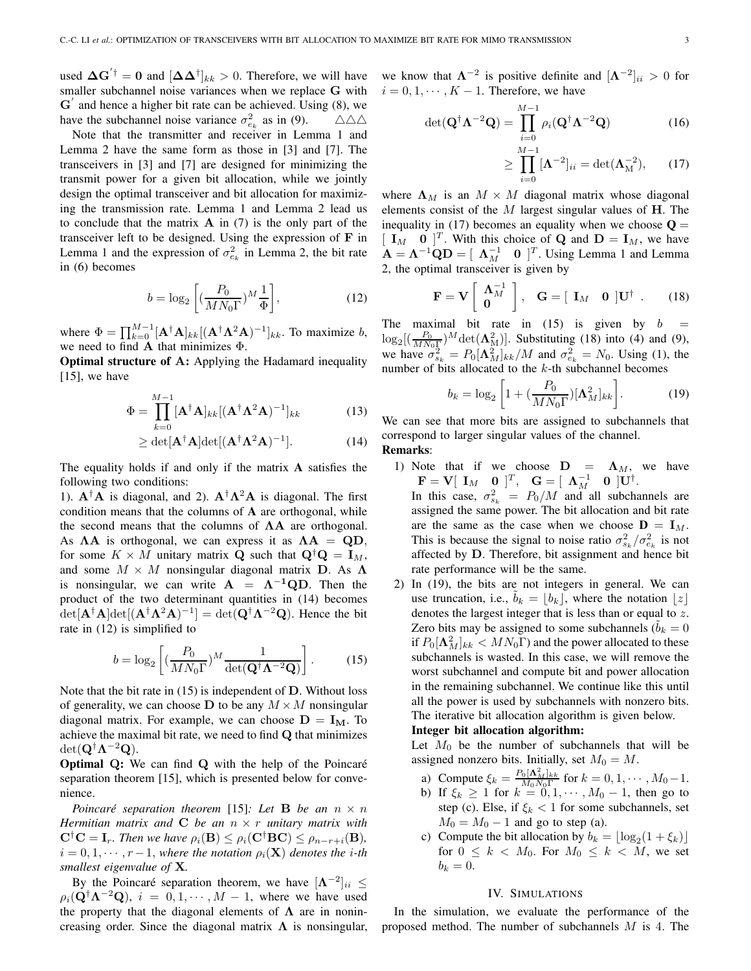used  $\Delta G^{'\dagger} = 0$  and  $[\Delta \Delta^{\dagger}]_{kk} > 0$ . Therefore, we will have smaller subchannel noise variances when we replace **G** with  $G'$  and hence a higher bit rate can be achieved. Using  $(8)$ , we have the subchannel noise variance  $\sigma_{e_k}^2$  as in (9).  $\triangle \triangle \triangle$ 

Note that the transmitter and receiver in Lemma 1 and Lemma 2 have the same form as those in [3] and [7]. The transceivers in [3] and [7] are designed for minimizing the transmit power for a given bit allocation, while we jointly design the optimal transceiver and bit allocation for maximizing the transmission rate. Lemma 1 and Lemma 2 lead us to conclude that the matrix **A** in (7) is the only part of the transceiver left to be designed. Using the expression of **F** in Lemma 1 and the expression of  $\sigma_{e_k}^2$  in Lemma 2, the bit rate in (6) becomes

$$
b = \log_2\left[ \left( \frac{P_0}{MN_0\Gamma} \right)^M \frac{1}{\Phi} \right],\tag{12}
$$

where  $\Phi = \prod_{k=0}^{M-1} [\mathbf{A}^{\dagger} \mathbf{A}]_{kk} [(\mathbf{A}^{\dagger} \mathbf{\Lambda}^2 \mathbf{A})^{-1}]_{kk}$ . To maximize b, we need to find **A** that minimizes Φ.

**Optimal structure of A:** Applying the Hadamard inequality  $[15]$ , we have

$$
\Phi = \prod_{k=0}^{M-1} [\mathbf{A}^\dagger \mathbf{A}]_{kk} [(\mathbf{A}^\dagger \mathbf{\Lambda}^2 \mathbf{A})^{-1}]_{kk}
$$
(13)

$$
\geq \det[\mathbf{A}^{\dagger}\mathbf{A}]\det[(\mathbf{A}^{\dagger}\mathbf{\Lambda}^2\mathbf{A})^{-1}].
$$
 (14)

The equality holds if and only if the matrix **A** satisfies the following two conditions:

1).  $A^{\dagger}A$  is diagonal, and 2).  $A^{\dagger}\Lambda^2A$  is diagonal. The first condition means that the columns of **A** are orthogonal, while the second means that the columns of **ΛA** are orthogonal. As  $\Lambda A$  is orthogonal, we can express it as  $\Lambda A = QD$ , for some  $K \times M$  unitary matrix **Q** such that  $\mathbf{Q}^{\dagger} \mathbf{Q} = \mathbf{I}_M$ , and some  $M \times M$  nonsingular diagonal matrix **D**. As  $\Lambda$ is nonsingular, we can write  $A = \Lambda^{-1} Q D$ . Then the product of the two determinant quantities in (14) becomes  $\det[\mathbf{A}^{\dagger} \mathbf{A}] \det[(\mathbf{A}^{\dagger} \mathbf{\Lambda}^2 \mathbf{A})^{-1}] = \det(\mathbf{Q}^{\dagger} \mathbf{\Lambda}^{-2} \mathbf{Q})$ . Hence the bit rate in (12) is simplified to

$$
b = \log_2\left[ \left( \frac{P_0}{M N_0 \Gamma} \right)^M \frac{1}{\det(\mathbf{Q}^\dagger \mathbf{\Lambda}^{-2} \mathbf{Q})} \right]. \tag{15}
$$

Note that the bit rate in (15) is independent of **D**. Without loss of generality, we can choose **D** to be any  $M \times M$  nonsingular diagonal matrix. For example, we can choose  $D = I_M$ . To achieve the maximal bit rate, we need to find **Q** that minimizes det(**Q**†**Λ**<sup>−</sup><sup>2</sup>**Q**).

**Optimal Q:** We can find **Q** with the help of the Poincaré separation theorem [15], which is presented below for convenience.

*Poincaré separation theorem* [15]: Let **B** *be an*  $n \times n$ *Hermitian matrix and* **C** *be an* n × r *unitary matrix with*  $C^{\dagger}C = I_r$ *. Then we have*  $\rho_i(B) \leq \rho_i(C^{\dagger}BC) \leq \rho_{n-r+i}(B)$ *,*  $i = 0, 1, \dots, r-1$ , where the notation  $\rho_i(\mathbf{X})$  denotes the *i*-th *smallest eigenvalue of* **X***.*

By the Poincaré separation theorem, we have  $[\mathbf{\Lambda}^{-2}]_{ii} \leq$  $\rho_i(\mathbf{Q}^\dagger \mathbf{\Lambda}^{-2} \mathbf{Q}), i = 0, 1, \cdots, M - 1$ , where we have used the property that the diagonal elements of  $\Lambda$  are in nonincreasing order. Since the diagonal matrix  $\Lambda$  is nonsingular, we know that  $\Lambda^{-2}$  is positive definite and  $[\Lambda^{-2}]_{ii} > 0$  for  $i = 0, 1, \dots, K - 1$ . Therefore, we have

$$
\det(\mathbf{Q}^{\dagger}\mathbf{\Lambda}^{-2}\mathbf{Q}) = \prod_{i=0}^{M-1} \rho_i(\mathbf{Q}^{\dagger}\mathbf{\Lambda}^{-2}\mathbf{Q})
$$
 (16)

$$
\geq \prod_{i=0}^{M-1} [\mathbf{\Lambda}^{-2}]_{ii} = \det(\mathbf{\Lambda}_{\mathbf{M}}^{-2}), \qquad (17)
$$

where  $\Lambda_M$  is an  $M \times M$  diagonal matrix whose diagonal elements consist of the M largest singular values of **H**. The inequality in (17) becomes an equality when we choose  $Q =$  $\begin{bmatrix} \mathbf{I}_M & \mathbf{0} \end{bmatrix}^T$ . With this choice of **Q** and  $\mathbf{D} = \mathbf{I}_M$ , we have  $\mathbf{A} = \mathbf{\Lambda}^{-1} \mathbf{Q} \mathbf{D} = [\mathbf{\Lambda}_M^{-1} \quad \mathbf{0} \]^{T}$ . Using Lemma 1 and Lemma 2, the optimal transceiver is given by

$$
\mathbf{F} = \mathbf{V} \left[ \begin{array}{c} \mathbf{\Lambda}_{M}^{-1} \\ \mathbf{0} \end{array} \right], \quad \mathbf{G} = \left[ \begin{array}{cc} \mathbf{I}_{M} & \mathbf{0} \end{array} \right] \mathbf{U}^{\dagger} \quad . \tag{18}
$$

The maximal bit rate in  $(15)$  is given by  $b$  $\log_2\left[\left(\frac{P_0}{MN_0}\right)^M\det(\mathbf{\Lambda}^2_M)\right]$ . Substituting (18) into (4) and (9), we have  $\sigma_{s_k}^2 = P_0[\Lambda_M^2]_{kk}/M$  and  $\sigma_{e_k}^2 = N_0$ . Using (1), the number of bits allocated to the k-th subchannel becomes

$$
b_k = \log_2\left[1 + \left(\frac{P_0}{MN_0\Gamma}\right)[\mathbf{\Lambda}_M^2]_{kk}\right].\tag{19}
$$

We can see that more bits are assigned to subchannels that correspond to larger singular values of the channel. **Remarks**:

- 1) Note that if we choose  $D = \Lambda_M$ , we have  $\mathbf{F} = \mathbf{V} \begin{bmatrix} \mathbf{I}_M & \mathbf{0} \end{bmatrix}^T, \quad \mathbf{G} = \begin{bmatrix} \mathbf{\Lambda}_M^{-1} & \mathbf{0} \end{bmatrix} \mathbf{U}^{\dagger}.$ 
	- In this case,  $\sigma_{s_k}^2 = P_0/M$  and all subchannels are assigned the same power. The bit allocation and bit rate are the same as the case when we choose  $\mathbf{D} = \mathbf{I}_M$ . This is because the signal to noise ratio  $\sigma_{s_k}^2/\sigma_{e_k}^2$  is not affected by **D**. Therefore, bit assignment and hence bit rate performance will be the same.
- 2) In (19), the bits are not integers in general. We can use truncation, i.e.,  $b_k = \lfloor b_k \rfloor$ , where the notation  $\lfloor z \rfloor$ denotes the largest integer that is less than or equal to z. Zero bits may be assigned to some subchannels ( $b_k = 0$ ) if  $P_0[\mathbf{\Lambda}^2_M]_{kk} < MN_0\Gamma$  and the power allocated to these subchannels is wasted. In this case, we will remove the worst subchannel and compute bit and power allocation in the remaining subchannel. We continue like this until all the power is used by subchannels with nonzero bits. The iterative bit allocation algorithm is given below.

## **Integer bit allocation algorithm:**

Let  $M_0$  be the number of subchannels that will be assigned nonzero bits. Initially, set  $M_0 = M$ .

- a) Compute  $\xi_k = \frac{P_0[\mathbf{\Lambda}_{M}^2]_{kk}}{M_0 N_0 \Gamma}$  for  $k = 0, 1, \cdots, M_0 1$ .
- b) If  $\xi_k \ge 1$  for  $k = 0, 1, \dots, M_0 1$ , then go to step (c). Else, if  $\xi_k < 1$  for some subchannels, set  $M_0 = M_0 - 1$  and go to step (a).
- c) Compute the bit allocation by  $b_k = |\log_2(1 + \xi_k)|$ for  $0 \leq k \leq M_0$ . For  $M_0 \leq k \leq M$ , we set  $b_k = 0.$

## IV. SIMULATIONS

In the simulation, we evaluate the performance of the proposed method. The number of subchannels M is 4. The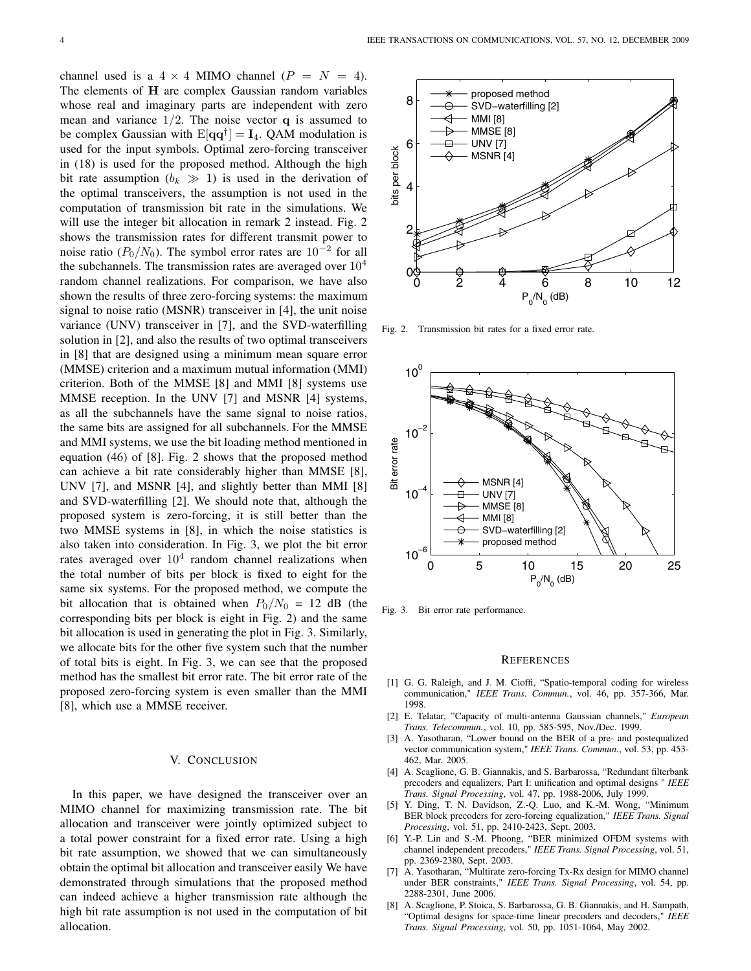channel used is a  $4 \times 4$  MIMO channel ( $P = N = 4$ ). The elements of **H** are complex Gaussian random variables whose real and imaginary parts are independent with zero mean and variance  $1/2$ . The noise vector **q** is assumed to be complex Gaussian with  $E[\mathbf{qq}^{\dagger}] = \mathbf{I}_4$ . QAM modulation is used for the input symbols. Optimal zero-forcing transceiver in (18) is used for the proposed method. Although the high bit rate assumption  $(b_k \gg 1)$  is used in the derivation of the optimal transceivers, the assumption is not used in the computation of transmission bit rate in the simulations. We will use the integer bit allocation in remark 2 instead. Fig. 2 shows the transmission rates for different transmit power to noise ratio ( $P_0/N_0$ ). The symbol error rates are 10<sup>-2</sup> for all the subchannels. The transmission rates are averaged over  $10<sup>4</sup>$ random channel realizations. For comparison, we have also shown the results of three zero-forcing systems: the maximum signal to noise ratio (MSNR) transceiver in [4], the unit noise variance (UNV) transceiver in [7], and the SVD-waterfilling solution in [2], and also the results of two optimal transceivers in [8] that are designed using a minimum mean square error (MMSE) criterion and a maximum mutual information (MMI) criterion. Both of the MMSE [8] and MMI [8] systems use MMSE reception. In the UNV [7] and MSNR [4] systems, as all the subchannels have the same signal to noise ratios, the same bits are assigned for all subchannels. For the MMSE and MMI systems, we use the bit loading method mentioned in equation (46) of [8]. Fig. 2 shows that the proposed method can achieve a bit rate considerably higher than MMSE [8], UNV [7], and MSNR [4], and slightly better than MMI [8] and SVD-waterfilling [2]. We should note that, although the proposed system is zero-forcing, it is still better than the two MMSE systems in [8], in which the noise statistics is also taken into consideration. In Fig. 3, we plot the bit error rates averaged over  $10<sup>4</sup>$  random channel realizations when the total number of bits per block is fixed to eight for the same six systems. For the proposed method, we compute the bit allocation that is obtained when  $P_0/N_0 = 12$  dB (the corresponding bits per block is eight in Fig. 2) and the same bit allocation is used in generating the plot in Fig. 3. Similarly, we allocate bits for the other five system such that the number of total bits is eight. In Fig. 3, we can see that the proposed method has the smallest bit error rate. The bit error rate of the proposed zero-forcing system is even smaller than the MMI [8], which use a MMSE receiver.

## V. CONCLUSION

In this paper, we have designed the transceiver over an MIMO channel for maximizing transmission rate. The bit allocation and transceiver were jointly optimized subject to a total power constraint for a fixed error rate. Using a high bit rate assumption, we showed that we can simultaneously obtain the optimal bit allocation and transceiver easily We have demonstrated through simulations that the proposed method can indeed achieve a higher transmission rate although the high bit rate assumption is not used in the computation of bit allocation.



Fig. 2. Transmission bit rates for a fixed error rate.



Fig. 3. Bit error rate performance.

#### **REFERENCES**

- [1] G. G. Raleigh, and J. M. Cioffi, "Spatio-temporal coding for wireless communication," *IEEE Trans. Commun.*, vol. 46, pp. 357-366, Mar. 1998.
- [2] E. Telatar, "Capacity of multi-antenna Gaussian channels," *European Trans. Telecommun.*, vol. 10, pp. 585-595, Nov./Dec. 1999.
- [3] A. Yasotharan, "Lower bound on the BER of a pre- and postequalized vector communication system," *IEEE Trans. Commun.*, vol. 53, pp. 453- 462, Mar. 2005.
- [4] A. Scaglione, G. B. Giannakis, and S. Barbarossa, "Redundant filterbank precoders and equalizers, Part I: unification and optimal designs " *IEEE Trans. Signal Processing*, vol. 47, pp. 1988-2006, July 1999.
- [5] Y. Ding, T. N. Davidson, Z.-Q. Luo, and K.-M. Wong, "Minimum BER block precoders for zero-forcing equalization," *IEEE Trans. Signal Processing*, vol. 51, pp. 2410-2423, Sept. 2003.
- [6] Y.-P. Lin and S.-M. Phoong, "BER minimized OFDM systems with channel independent precoders," *IEEE Trans. Signal Processing*, vol. 51, pp. 2369-2380, Sept. 2003.
- [7] A. Yasotharan, "Multirate zero-forcing Tx-Rx design for MIMO channel under BER constraints," *IEEE Trans. Signal Processing*, vol. 54, pp. 2288-2301, June 2006.
- [8] A. Scaglione, P. Stoica, S. Barbarossa, G. B. Giannakis, and H. Sampath, "Optimal designs for space-time linear precoders and decoders," *IEEE Trans. Signal Processing*, vol. 50, pp. 1051-1064, May 2002.